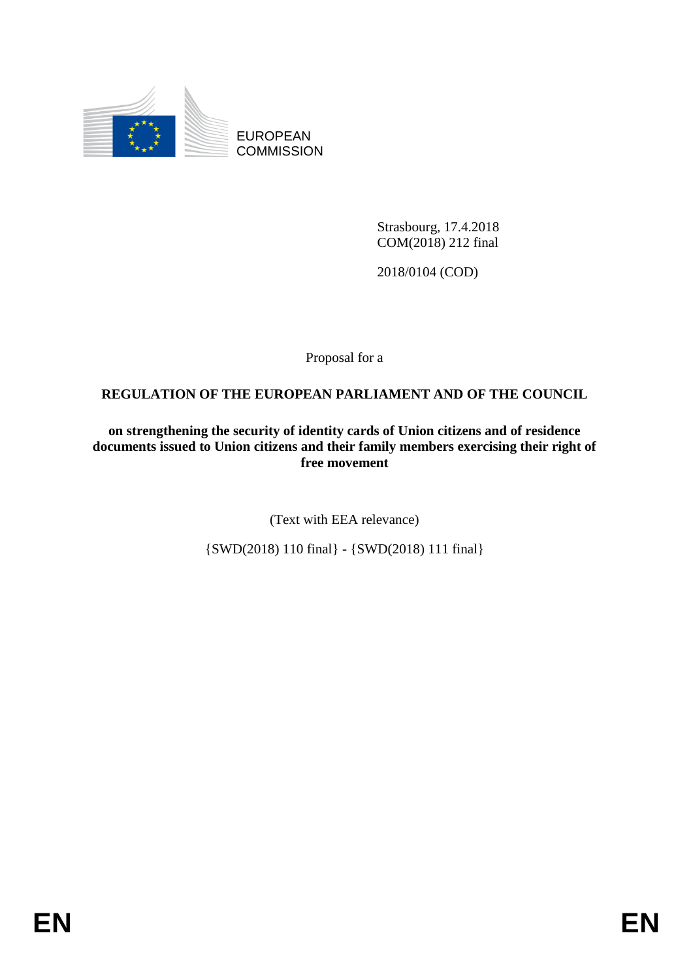

EUROPEAN **COMMISSION** 

> Strasbourg, 17.4.2018 COM(2018) 212 final

2018/0104 (COD)

Proposal for a

# **REGULATION OF THE EUROPEAN PARLIAMENT AND OF THE COUNCIL**

**on strengthening the security of identity cards of Union citizens and of residence documents issued to Union citizens and their family members exercising their right of free movement**

(Text with EEA relevance)

{SWD(2018) 110 final} - {SWD(2018) 111 final}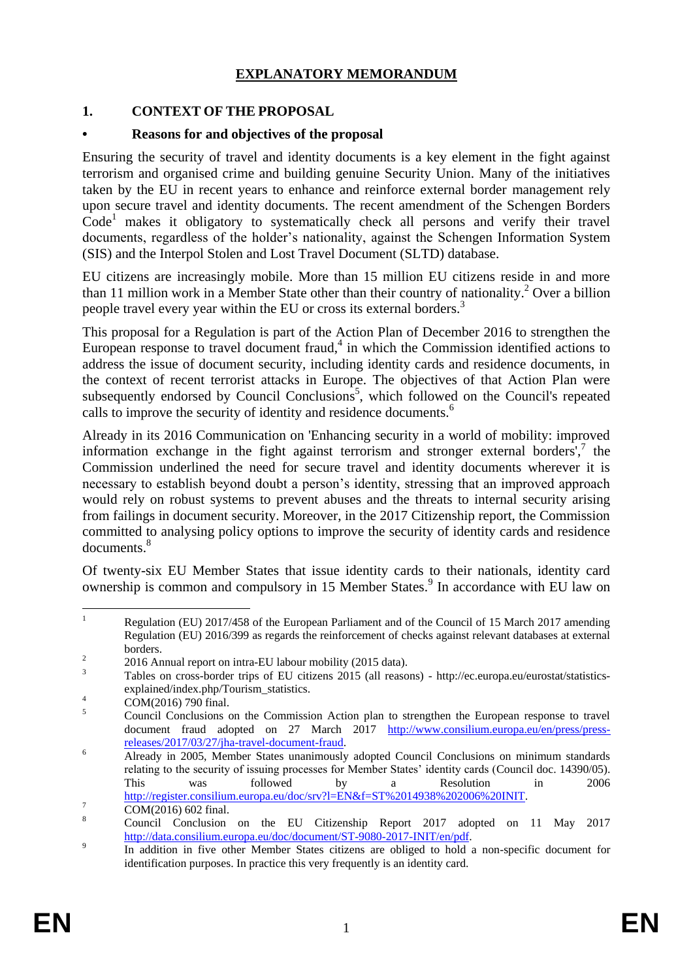## **EXPLANATORY MEMORANDUM**

## **1. CONTEXT OF THE PROPOSAL**

### **• Reasons for and objectives of the proposal**

Ensuring the security of travel and identity documents is a key element in the fight against terrorism and organised crime and building genuine Security Union. Many of the initiatives taken by the EU in recent years to enhance and reinforce external border management rely upon secure travel and identity documents. The recent amendment of the Schengen Borders Code<sup>1</sup> makes it obligatory to systematically check all persons and verify their travel documents, regardless of the holder's nationality, against the Schengen Information System (SIS) and the Interpol Stolen and Lost Travel Document (SLTD) database.

EU citizens are increasingly mobile. More than 15 million EU citizens reside in and more than 11 million work in a Member State other than their country of nationality.<sup>2</sup> Over a billion people travel every year within the EU or cross its external borders.<sup>3</sup>

This proposal for a Regulation is part of the Action Plan of December 2016 to strengthen the European response to travel document fraud, $4$  in which the Commission identified actions to address the issue of document security, including identity cards and residence documents, in the context of recent terrorist attacks in Europe. The objectives of that Action Plan were subsequently endorsed by Council Conclusions<sup>5</sup>, which followed on the Council's repeated calls to improve the security of identity and residence documents.<sup>6</sup>

Already in its 2016 Communication on 'Enhancing security in a world of mobility: improved information exchange in the fight against terrorism and stronger external borders', $\frac{7}{1}$  the Commission underlined the need for secure travel and identity documents wherever it is necessary to establish beyond doubt a person's identity, stressing that an improved approach would rely on robust systems to prevent abuses and the threats to internal security arising from failings in document security. Moreover, in the 2017 Citizenship report, the Commission committed to analysing policy options to improve the security of identity cards and residence documents.<sup>8</sup>

Of twenty-six EU Member States that issue identity cards to their nationals, identity card ownership is common and compulsory in 15 Member States.<sup>9</sup> In accordance with EU law on

 $\bar{1}$ Regulation (EU) 2017/458 of the European Parliament and of the Council of 15 March 2017 amending Regulation (EU) 2016/399 as regards the reinforcement of checks against relevant databases at external borders.  $\overline{2}$ 

<sup>2016</sup> Annual report on intra-EU labour mobility (2015 data).

<sup>&</sup>lt;sup>3</sup> Tables on cross-border trips of EU citizens 2015 (all reasons) - http://ec.europa.eu/eurostat/statisticsexplained/index.php/Tourism\_statistics.

 $^{4}$  COM(2016) 790 final.

<sup>5</sup> Council Conclusions on the Commission Action plan to strengthen the European response to travel document fraud adopted on 27 March 2017 [http://www.consilium.europa.eu/en/press/press](http://www.consilium.europa.eu/en/press/press-releases/2017/03/27/jha-travel-document-fraud)[releases/2017/03/27/jha-travel-document-fraud.](http://www.consilium.europa.eu/en/press/press-releases/2017/03/27/jha-travel-document-fraud)

<sup>&</sup>lt;sup>6</sup> Already in 2005, Member States unanimously adopted Council Conclusions on minimum standards relating to the security of issuing processes for Member States' identity cards (Council doc. 14390/05). This was followed by a Resolution in 2006 [http://register.consilium.europa.eu/doc/srv?l=EN&f=ST%2014938%202006%20INIT.](http://register.consilium.europa.eu/doc/srv?l=EN&f=ST%2014938%202006%20INIT)

 $\frac{7}{8}$  COM(2016) 602 final.

<sup>8</sup> Council Conclusion on the EU Citizenship Report 2017 adopted on 11 May 2017 [http://data.consilium.europa.eu/doc/document/ST-9080-2017-INIT/en/pdf.](http://data.consilium.europa.eu/doc/document/ST-9080-2017-INIT/en/pdf)

 $\overline{9}$ In addition in five other Member States citizens are obliged to hold a non-specific document for identification purposes. In practice this very frequently is an identity card.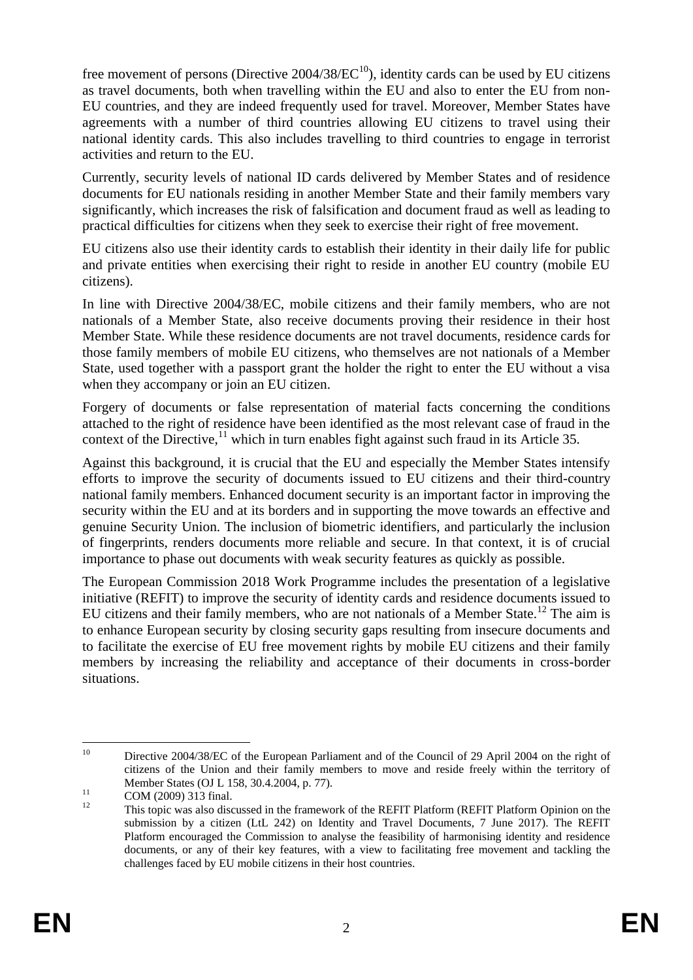free movement of persons (Directive  $2004/38/EC^{10}$ ), identity cards can be used by EU citizens as travel documents, both when travelling within the EU and also to enter the EU from non-EU countries, and they are indeed frequently used for travel. Moreover, Member States have agreements with a number of third countries allowing EU citizens to travel using their national identity cards. This also includes travelling to third countries to engage in terrorist activities and return to the EU.

Currently, security levels of national ID cards delivered by Member States and of residence documents for EU nationals residing in another Member State and their family members vary significantly, which increases the risk of falsification and document fraud as well as leading to practical difficulties for citizens when they seek to exercise their right of free movement.

EU citizens also use their identity cards to establish their identity in their daily life for public and private entities when exercising their right to reside in another EU country (mobile EU citizens).

In line with Directive 2004/38/EC, mobile citizens and their family members, who are not nationals of a Member State, also receive documents proving their residence in their host Member State. While these residence documents are not travel documents, residence cards for those family members of mobile EU citizens, who themselves are not nationals of a Member State, used together with a passport grant the holder the right to enter the EU without a visa when they accompany or join an EU citizen.

Forgery of documents or false representation of material facts concerning the conditions attached to the right of residence have been identified as the most relevant case of fraud in the context of the Directive,<sup>11</sup> which in turn enables fight against such fraud in its Article 35.

Against this background, it is crucial that the EU and especially the Member States intensify efforts to improve the security of documents issued to EU citizens and their third-country national family members. Enhanced document security is an important factor in improving the security within the EU and at its borders and in supporting the move towards an effective and genuine Security Union. The inclusion of biometric identifiers, and particularly the inclusion of fingerprints, renders documents more reliable and secure. In that context, it is of crucial importance to phase out documents with weak security features as quickly as possible.

The European Commission 2018 Work Programme includes the presentation of a legislative initiative (REFIT) to improve the security of identity cards and residence documents issued to EU citizens and their family members, who are not nationals of a Member State.<sup>12</sup> The aim is to enhance European security by closing security gaps resulting from insecure documents and to facilitate the exercise of EU free movement rights by mobile EU citizens and their family members by increasing the reliability and acceptance of their documents in cross-border situations.

 $10$ Directive 2004/38/EC of the European Parliament and of the Council of 29 April 2004 on the right of citizens of the Union and their family members to move and reside freely within the territory of Member States (OJ L 158, 30.4.2004, p. 77).

 $11$  COM (2009) 313 final.

<sup>12</sup> This topic was also discussed in the framework of the REFIT Platform (REFIT Platform Opinion on the submission by a citizen (LtL 242) on Identity and Travel Documents, 7 June 2017). The REFIT Platform encouraged the Commission to analyse the feasibility of harmonising identity and residence documents, or any of their key features, with a view to facilitating free movement and tackling the challenges faced by EU mobile citizens in their host countries.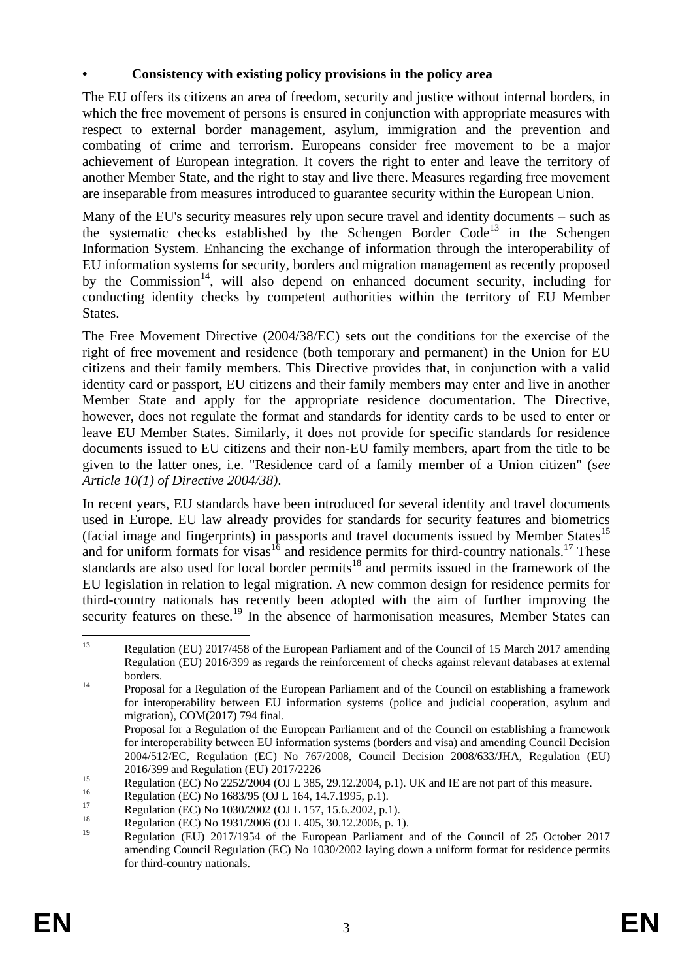## **• Consistency with existing policy provisions in the policy area**

The EU offers its citizens an area of freedom, security and justice without internal borders, in which the free movement of persons is ensured in conjunction with appropriate measures with respect to external border management, asylum, immigration and the prevention and combating of crime and terrorism. Europeans consider free movement to be a major achievement of European integration. It covers the right to enter and leave the territory of another Member State, and the right to stay and live there. Measures regarding free movement are inseparable from measures introduced to guarantee security within the European Union.

Many of the EU's security measures rely upon secure travel and identity documents – such as the systematic checks established by the Schengen Border  $Code<sup>13</sup>$  in the Schengen Information System. Enhancing the exchange of information through the interoperability of EU information systems for security, borders and migration management as recently proposed by the Commission<sup>14</sup>, will also depend on enhanced document security, including for conducting identity checks by competent authorities within the territory of EU Member States.

The Free Movement Directive (2004/38/EC) sets out the conditions for the exercise of the right of free movement and residence (both temporary and permanent) in the Union for EU citizens and their family members. This Directive provides that, in conjunction with a valid identity card or passport, EU citizens and their family members may enter and live in another Member State and apply for the appropriate residence documentation. The Directive, however, does not regulate the format and standards for identity cards to be used to enter or leave EU Member States. Similarly, it does not provide for specific standards for residence documents issued to EU citizens and their non-EU family members, apart from the title to be given to the latter ones, i.e. "Residence card of a family member of a Union citizen" (s*ee Article 10(1) of Directive 2004/38)*.

In recent years, EU standards have been introduced for several identity and travel documents used in Europe. EU law already provides for standards for security features and biometrics (facial image and fingerprints) in passports and travel documents issued by Member States<sup>15</sup> and for uniform formats for visas<sup>16</sup> and residence permits for third-country nationals.<sup>17</sup> These standards are also used for local border permits<sup>18</sup> and permits issued in the framework of the EU legislation in relation to legal migration. A new common design for residence permits for third-country nationals has recently been adopted with the aim of further improving the security features on these.<sup>19</sup> In the absence of harmonisation measures, Member States can

 $13$ Regulation (EU) 2017/458 of the European Parliament and of the Council of 15 March 2017 amending Regulation (EU) 2016/399 as regards the reinforcement of checks against relevant databases at external borders.

<sup>&</sup>lt;sup>14</sup> Proposal for a Regulation of the European Parliament and of the Council on establishing a framework for interoperability between EU information systems (police and judicial cooperation, asylum and migration), COM(2017) 794 final.

Proposal for a Regulation of the European Parliament and of the Council on establishing a framework for interoperability between EU information systems (borders and visa) and amending Council Decision 2004/512/EC, Regulation (EC) No 767/2008, Council Decision 2008/633/JHA, Regulation (EU) 2016/399 and Regulation (EU) 2017/2226

 $R_{\text{regulation}}$  (EC) No 2252/2004 (OJ L 385, 29.12.2004, p.1). UK and IE are not part of this measure.

<sup>&</sup>lt;sup>16</sup> Regulation (EC) No 1683/95 (OJ L 164, 14.7.1995, p.1).

 $^{17}$  Regulation (EC) No 1030/2002 (OJ L 157, 15.6.2002, p.1).

<sup>&</sup>lt;sup>18</sup> Regulation (EC) No 1931/2006 (OJ L 405, 30.12.2006, p. 1).

<sup>19</sup> Regulation (EU) 2017/1954 of the European Parliament and of the Council of 25 October 2017 amending Council Regulation (EC) No 1030/2002 laying down a uniform format for residence permits for third-country nationals.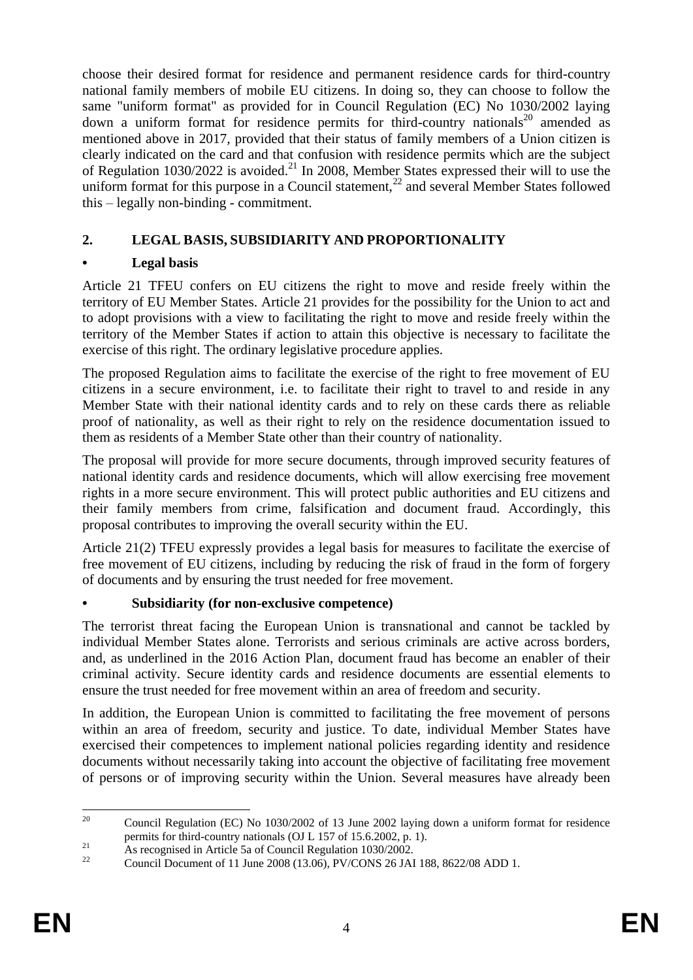choose their desired format for residence and permanent residence cards for third-country national family members of mobile EU citizens. In doing so, they can choose to follow the same "uniform format" as provided for in Council Regulation (EC) No 1030/2002 laying down a uniform format for residence permits for third-country nationals<sup>20</sup> amended as mentioned above in 2017, provided that their status of family members of a Union citizen is clearly indicated on the card and that confusion with residence permits which are the subject of Regulation  $1030/2022$  is avoided.<sup>21</sup> In 2008, Member States expressed their will to use the uniform format for this purpose in a Council statement, $^{22}$  and several Member States followed this – legally non-binding - commitment.

# **2. LEGAL BASIS, SUBSIDIARITY AND PROPORTIONALITY**

# **• Legal basis**

Article 21 TFEU confers on EU citizens the right to move and reside freely within the territory of EU Member States. Article 21 provides for the possibility for the Union to act and to adopt provisions with a view to facilitating the right to move and reside freely within the territory of the Member States if action to attain this objective is necessary to facilitate the exercise of this right. The ordinary legislative procedure applies.

The proposed Regulation aims to facilitate the exercise of the right to free movement of EU citizens in a secure environment, i.e. to facilitate their right to travel to and reside in any Member State with their national identity cards and to rely on these cards there as reliable proof of nationality, as well as their right to rely on the residence documentation issued to them as residents of a Member State other than their country of nationality.

The proposal will provide for more secure documents, through improved security features of national identity cards and residence documents, which will allow exercising free movement rights in a more secure environment. This will protect public authorities and EU citizens and their family members from crime, falsification and document fraud. Accordingly, this proposal contributes to improving the overall security within the EU.

Article 21(2) TFEU expressly provides a legal basis for measures to facilitate the exercise of free movement of EU citizens, including by reducing the risk of fraud in the form of forgery of documents and by ensuring the trust needed for free movement.

## **• Subsidiarity (for non-exclusive competence)**

The terrorist threat facing the European Union is transnational and cannot be tackled by individual Member States alone. Terrorists and serious criminals are active across borders, and, as underlined in the 2016 Action Plan, document fraud has become an enabler of their criminal activity. Secure identity cards and residence documents are essential elements to ensure the trust needed for free movement within an area of freedom and security.

In addition, the European Union is committed to facilitating the free movement of persons within an area of freedom, security and justice. To date, individual Member States have exercised their competences to implement national policies regarding identity and residence documents without necessarily taking into account the objective of facilitating free movement of persons or of improving security within the Union. Several measures have already been

 $20^{\circ}$ <sup>20</sup> Council Regulation (EC) No 1030/2002 of 13 June 2002 laying down a uniform format for residence permits for third-country nationals (OJ L 157 of 15.6.2002, p. 1).

<sup>&</sup>lt;sup>21</sup> As recognised in Article 5a of Council Regulation 1030/2002.

<sup>22</sup> Council Document of 11 June 2008 (13.06), PV/CONS 26 JAI 188, 8622/08 ADD 1.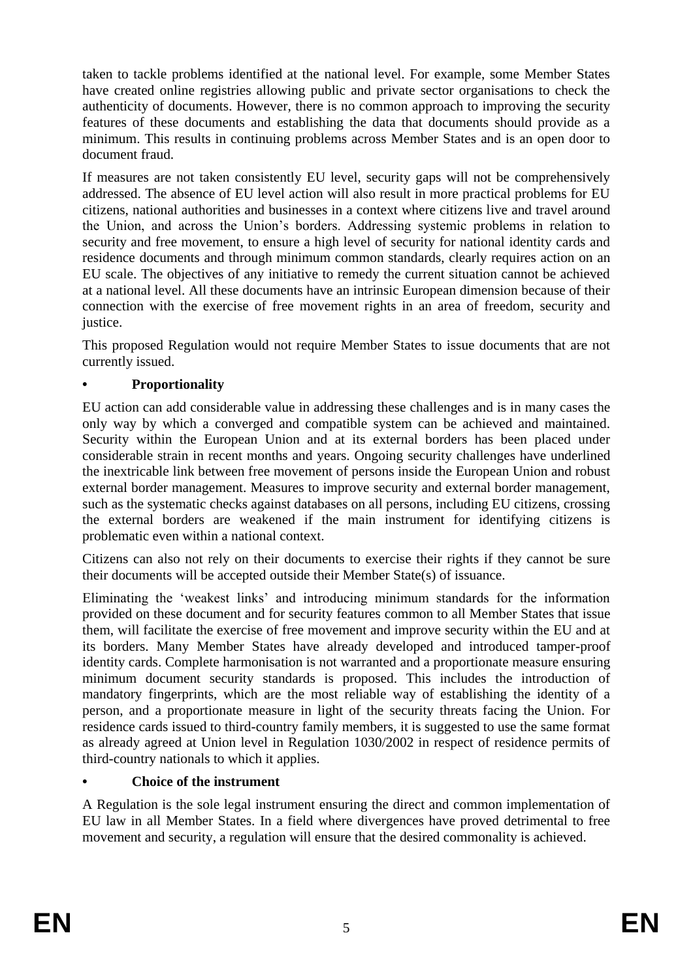taken to tackle problems identified at the national level. For example, some Member States have created online registries allowing public and private sector organisations to check the authenticity of documents. However, there is no common approach to improving the security features of these documents and establishing the data that documents should provide as a minimum. This results in continuing problems across Member States and is an open door to document fraud.

If measures are not taken consistently EU level, security gaps will not be comprehensively addressed. The absence of EU level action will also result in more practical problems for EU citizens, national authorities and businesses in a context where citizens live and travel around the Union, and across the Union's borders. Addressing systemic problems in relation to security and free movement, to ensure a high level of security for national identity cards and residence documents and through minimum common standards, clearly requires action on an EU scale. The objectives of any initiative to remedy the current situation cannot be achieved at a national level. All these documents have an intrinsic European dimension because of their connection with the exercise of free movement rights in an area of freedom, security and justice.

This proposed Regulation would not require Member States to issue documents that are not currently issued.

# **• Proportionality**

EU action can add considerable value in addressing these challenges and is in many cases the only way by which a converged and compatible system can be achieved and maintained. Security within the European Union and at its external borders has been placed under considerable strain in recent months and years. Ongoing security challenges have underlined the inextricable link between free movement of persons inside the European Union and robust external border management. Measures to improve security and external border management, such as the systematic checks against databases on all persons, including EU citizens, crossing the external borders are weakened if the main instrument for identifying citizens is problematic even within a national context.

Citizens can also not rely on their documents to exercise their rights if they cannot be sure their documents will be accepted outside their Member State(s) of issuance.

Eliminating the 'weakest links' and introducing minimum standards for the information provided on these document and for security features common to all Member States that issue them, will facilitate the exercise of free movement and improve security within the EU and at its borders. Many Member States have already developed and introduced tamper-proof identity cards. Complete harmonisation is not warranted and a proportionate measure ensuring minimum document security standards is proposed. This includes the introduction of mandatory fingerprints, which are the most reliable way of establishing the identity of a person, and a proportionate measure in light of the security threats facing the Union. For residence cards issued to third-country family members, it is suggested to use the same format as already agreed at Union level in Regulation 1030/2002 in respect of residence permits of third-country nationals to which it applies.

## **• Choice of the instrument**

A Regulation is the sole legal instrument ensuring the direct and common implementation of EU law in all Member States. In a field where divergences have proved detrimental to free movement and security, a regulation will ensure that the desired commonality is achieved.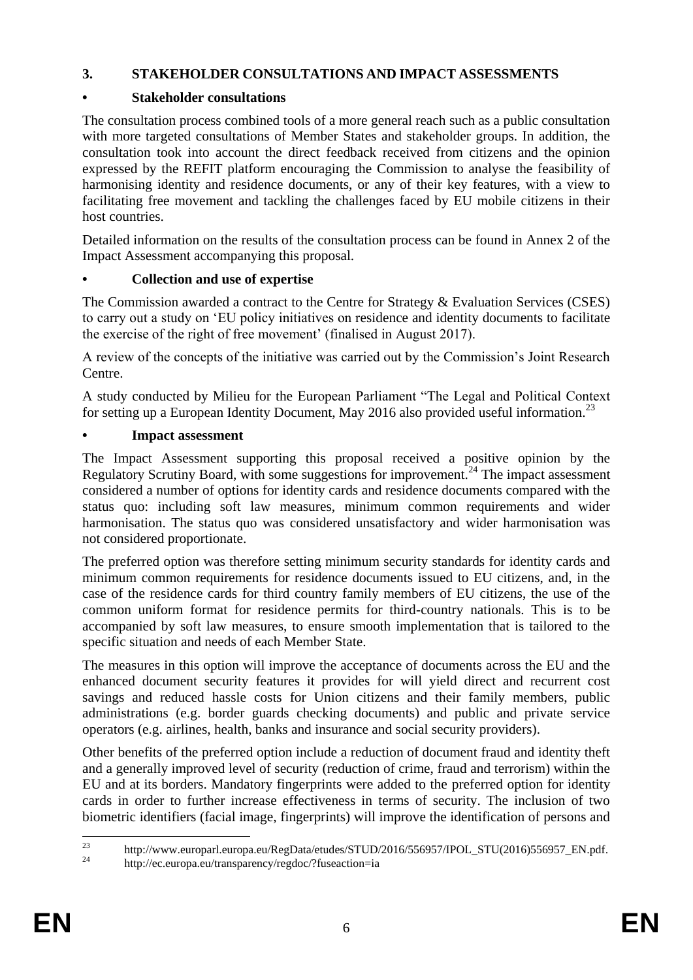## **3. STAKEHOLDER CONSULTATIONS AND IMPACT ASSESSMENTS**

# **• Stakeholder consultations**

The consultation process combined tools of a more general reach such as a public consultation with more targeted consultations of Member States and stakeholder groups. In addition, the consultation took into account the direct feedback received from citizens and the opinion expressed by the REFIT platform encouraging the Commission to analyse the feasibility of harmonising identity and residence documents, or any of their key features, with a view to facilitating free movement and tackling the challenges faced by EU mobile citizens in their host countries.

Detailed information on the results of the consultation process can be found in Annex 2 of the Impact Assessment accompanying this proposal.

## **• Collection and use of expertise**

The Commission awarded a contract to the Centre for Strategy & Evaluation Services (CSES) to carry out a study on 'EU policy initiatives on residence and identity documents to facilitate the exercise of the right of free movement' (finalised in August 2017).

A review of the concepts of the initiative was carried out by the Commission's Joint Research Centre.

A study conducted by Milieu for the European Parliament "The Legal and Political Context for setting up a European Identity Document, May 2016 also provided useful information.<sup>23</sup>

## **• Impact assessment**

The Impact Assessment supporting this proposal received a positive opinion by the Regulatory Scrutiny Board, with some suggestions for improvement.<sup>24</sup> The impact assessment considered a number of options for identity cards and residence documents compared with the status quo: including soft law measures, minimum common requirements and wider harmonisation. The status quo was considered unsatisfactory and wider harmonisation was not considered proportionate.

The preferred option was therefore setting minimum security standards for identity cards and minimum common requirements for residence documents issued to EU citizens, and, in the case of the residence cards for third country family members of EU citizens, the use of the common uniform format for residence permits for third-country nationals. This is to be accompanied by soft law measures, to ensure smooth implementation that is tailored to the specific situation and needs of each Member State.

The measures in this option will improve the acceptance of documents across the EU and the enhanced document security features it provides for will yield direct and recurrent cost savings and reduced hassle costs for Union citizens and their family members, public administrations (e.g. border guards checking documents) and public and private service operators (e.g. airlines, health, banks and insurance and social security providers).

Other benefits of the preferred option include a reduction of document fraud and identity theft and a generally improved level of security (reduction of crime, fraud and terrorism) within the EU and at its borders. Mandatory fingerprints were added to the preferred option for identity cards in order to further increase effectiveness in terms of security. The inclusion of two biometric identifiers (facial image, fingerprints) will improve the identification of persons and

 $23$ <sup>23</sup> [http://www.europarl.europa.eu/RegData/etudes/STUD/2016/556957/IPOL\\_STU\(2016\)556957\\_EN.pdf.](http://www.europarl.europa.eu/RegData/etudes/STUD/2016/556957/IPOL_STU(2016)556957_EN.pdf)

http://ec.europa.eu/transparency/regdoc/?fuseaction=ia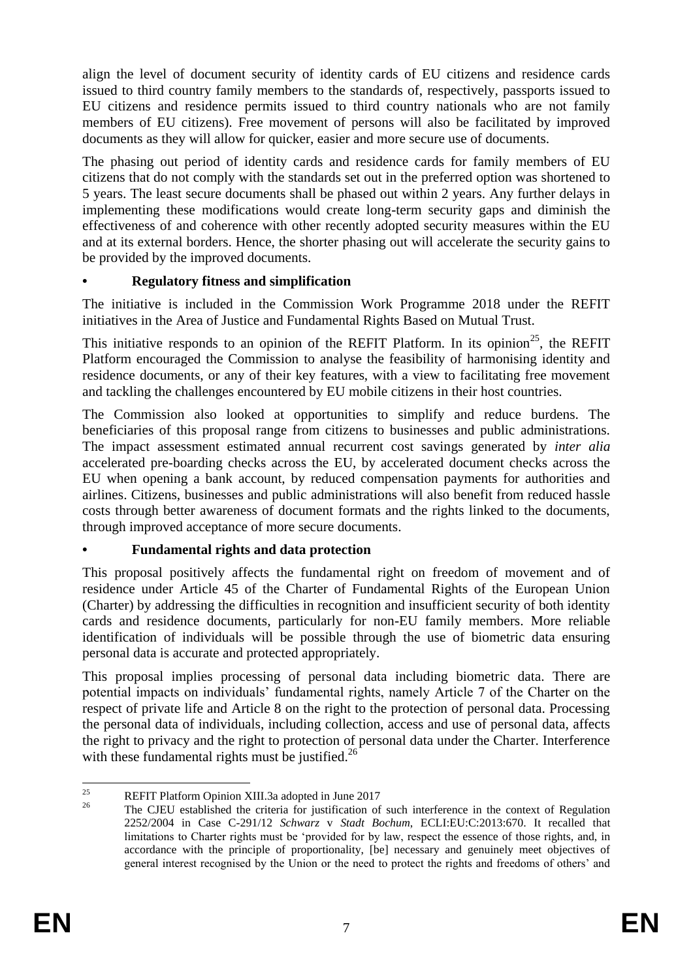align the level of document security of identity cards of EU citizens and residence cards issued to third country family members to the standards of, respectively, passports issued to EU citizens and residence permits issued to third country nationals who are not family members of EU citizens). Free movement of persons will also be facilitated by improved documents as they will allow for quicker, easier and more secure use of documents.

The phasing out period of identity cards and residence cards for family members of EU citizens that do not comply with the standards set out in the preferred option was shortened to 5 years. The least secure documents shall be phased out within 2 years. Any further delays in implementing these modifications would create long-term security gaps and diminish the effectiveness of and coherence with other recently adopted security measures within the EU and at its external borders. Hence, the shorter phasing out will accelerate the security gains to be provided by the improved documents.

## **• Regulatory fitness and simplification**

The initiative is included in the Commission Work Programme 2018 under the REFIT initiatives in the Area of Justice and Fundamental Rights Based on Mutual Trust.

This initiative responds to an opinion of the REFIT Platform. In its opinion<sup>25</sup>, the REFIT Platform encouraged the Commission to analyse the feasibility of harmonising identity and residence documents, or any of their key features, with a view to facilitating free movement and tackling the challenges encountered by EU mobile citizens in their host countries.

The Commission also looked at opportunities to simplify and reduce burdens. The beneficiaries of this proposal range from citizens to businesses and public administrations. The impact assessment estimated annual recurrent cost savings generated by *inter alia* accelerated pre-boarding checks across the EU, by accelerated document checks across the EU when opening a bank account, by reduced compensation payments for authorities and airlines. Citizens, businesses and public administrations will also benefit from reduced hassle costs through better awareness of document formats and the rights linked to the documents, through improved acceptance of more secure documents.

# **• Fundamental rights and data protection**

This proposal positively affects the fundamental right on freedom of movement and of residence under Article 45 of the Charter of Fundamental Rights of the European Union (Charter) by addressing the difficulties in recognition and insufficient security of both identity cards and residence documents, particularly for non-EU family members. More reliable identification of individuals will be possible through the use of biometric data ensuring personal data is accurate and protected appropriately.

This proposal implies processing of personal data including biometric data. There are potential impacts on individuals' fundamental rights, namely Article 7 of the Charter on the respect of private life and Article 8 on the right to the protection of personal data. Processing the personal data of individuals, including collection, access and use of personal data, affects the right to privacy and the right to protection of personal data under the Charter. Interference with these fundamental rights must be justified.<sup>26</sup>

 $25$ <sup>25</sup> REFIT Platform Opinion XIII.3a adopted in June 2017

<sup>26</sup> The CJEU established the criteria for justification of such interference in the context of Regulation 2252/2004 in Case C-291/12 *Schwarz* v *Stadt Bochum*, ECLI:EU:C:2013:670. It recalled that limitations to Charter rights must be 'provided for by law, respect the essence of those rights, and, in accordance with the principle of proportionality, [be] necessary and genuinely meet objectives of general interest recognised by the Union or the need to protect the rights and freedoms of others' and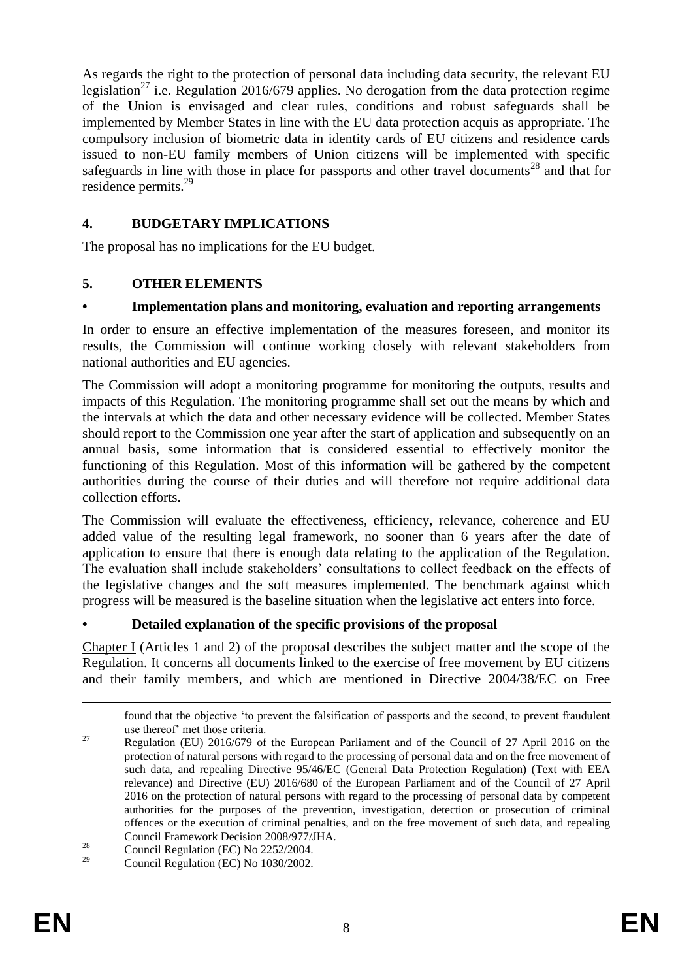As regards the right to the protection of personal data including data security, the relevant EU legislation<sup>27</sup> i.e. Regulation 2016/679 applies. No derogation from the data protection regime of the Union is envisaged and clear rules, conditions and robust safeguards shall be implemented by Member States in line with the EU data protection acquis as appropriate. The compulsory inclusion of biometric data in identity cards of EU citizens and residence cards issued to non-EU family members of Union citizens will be implemented with specific safeguards in line with those in place for passports and other travel documents<sup>28</sup> and that for residence permits.<sup>29</sup>

## **4. BUDGETARY IMPLICATIONS**

The proposal has no implications for the EU budget.

## **5. OTHER ELEMENTS**

## **• Implementation plans and monitoring, evaluation and reporting arrangements**

In order to ensure an effective implementation of the measures foreseen, and monitor its results, the Commission will continue working closely with relevant stakeholders from national authorities and EU agencies.

The Commission will adopt a monitoring programme for monitoring the outputs, results and impacts of this Regulation. The monitoring programme shall set out the means by which and the intervals at which the data and other necessary evidence will be collected. Member States should report to the Commission one year after the start of application and subsequently on an annual basis, some information that is considered essential to effectively monitor the functioning of this Regulation. Most of this information will be gathered by the competent authorities during the course of their duties and will therefore not require additional data collection efforts.

The Commission will evaluate the effectiveness, efficiency, relevance, coherence and EU added value of the resulting legal framework, no sooner than 6 years after the date of application to ensure that there is enough data relating to the application of the Regulation. The evaluation shall include stakeholders' consultations to collect feedback on the effects of the legislative changes and the soft measures implemented. The benchmark against which progress will be measured is the baseline situation when the legislative act enters into force.

# **• Detailed explanation of the specific provisions of the proposal**

Chapter I (Articles 1 and 2) of the proposal describes the subject matter and the scope of the Regulation. It concerns all documents linked to the exercise of free movement by EU citizens and their family members, and which are mentioned in Directive 2004/38/EC on Free

<u>.</u>

found that the objective 'to prevent the falsification of passports and the second, to prevent fraudulent use thereof' met those criteria.

<sup>&</sup>lt;sup>27</sup> Regulation (EU) 2016/679 of the European Parliament and of the Council of 27 April 2016 on the protection of natural persons with regard to the processing of personal data and on the free movement of such data, and repealing Directive 95/46/EC (General Data Protection Regulation) (Text with EEA relevance) and Directive (EU) 2016/680 of the European Parliament and of the Council of 27 April 2016 on the protection of natural persons with regard to the processing of personal data by competent authorities for the purposes of the prevention, investigation, detection or prosecution of criminal offences or the execution of criminal penalties, and on the free movement of such data, and repealing Council Framework Decision 2008/977/JHA.

 $\frac{28}{29}$  Council Regulation (EC) No 2252/2004.

<sup>29</sup> Council Regulation (EC) No 1030/2002.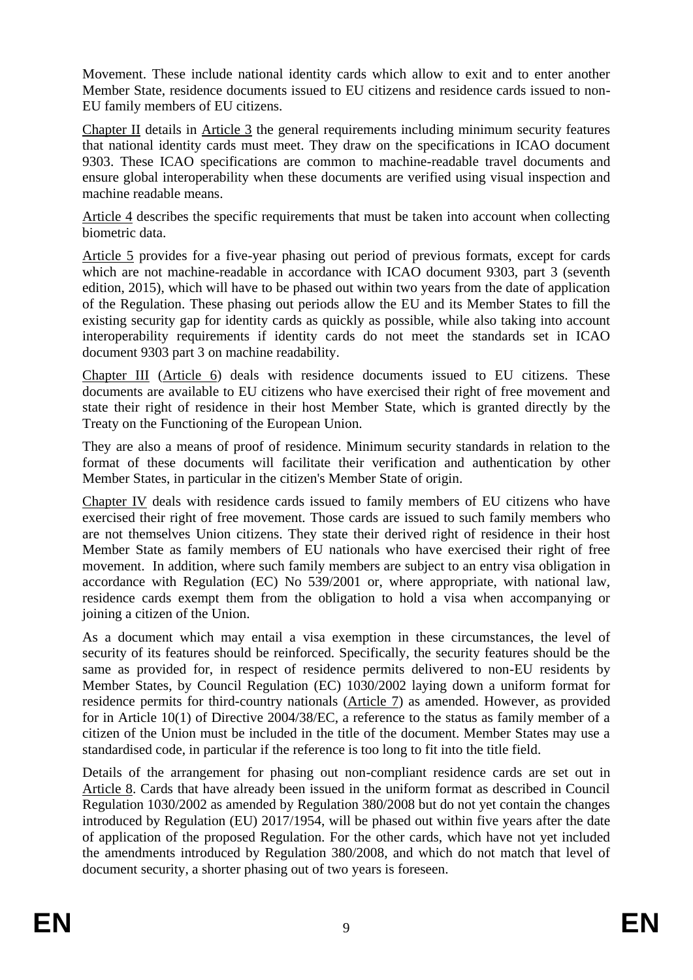Movement. These include national identity cards which allow to exit and to enter another Member State, residence documents issued to EU citizens and residence cards issued to non-EU family members of EU citizens.

Chapter II details in Article 3 the general requirements including minimum security features that national identity cards must meet. They draw on the specifications in ICAO document 9303. These ICAO specifications are common to machine-readable travel documents and ensure global interoperability when these documents are verified using visual inspection and machine readable means.

Article 4 describes the specific requirements that must be taken into account when collecting biometric data.

Article 5 provides for a five-year phasing out period of previous formats, except for cards which are not machine-readable in accordance with ICAO document 9303, part 3 (seventh edition, 2015), which will have to be phased out within two years from the date of application of the Regulation. These phasing out periods allow the EU and its Member States to fill the existing security gap for identity cards as quickly as possible, while also taking into account interoperability requirements if identity cards do not meet the standards set in ICAO document 9303 part 3 on machine readability.

Chapter III (Article 6) deals with residence documents issued to EU citizens. These documents are available to EU citizens who have exercised their right of free movement and state their right of residence in their host Member State, which is granted directly by the Treaty on the Functioning of the European Union.

They are also a means of proof of residence. Minimum security standards in relation to the format of these documents will facilitate their verification and authentication by other Member States, in particular in the citizen's Member State of origin.

Chapter IV deals with residence cards issued to family members of EU citizens who have exercised their right of free movement. Those cards are issued to such family members who are not themselves Union citizens. They state their derived right of residence in their host Member State as family members of EU nationals who have exercised their right of free movement. In addition, where such family members are subject to an entry visa obligation in accordance with Regulation (EC) No 539/2001 or, where appropriate, with national law, residence cards exempt them from the obligation to hold a visa when accompanying or joining a citizen of the Union.

As a document which may entail a visa exemption in these circumstances, the level of security of its features should be reinforced. Specifically, the security features should be the same as provided for, in respect of residence permits delivered to non-EU residents by Member States, by Council Regulation (EC) 1030/2002 laying down a uniform format for residence permits for third-country nationals (Article 7) as amended. However, as provided for in Article 10(1) of Directive 2004/38/EC, a reference to the status as family member of a citizen of the Union must be included in the title of the document. Member States may use a standardised code, in particular if the reference is too long to fit into the title field.

Details of the arrangement for phasing out non-compliant residence cards are set out in Article 8. Cards that have already been issued in the uniform format as described in Council Regulation 1030/2002 as amended by Regulation 380/2008 but do not yet contain the changes introduced by Regulation (EU) 2017/1954, will be phased out within five years after the date of application of the proposed Regulation. For the other cards, which have not yet included the amendments introduced by Regulation 380/2008, and which do not match that level of document security, a shorter phasing out of two years is foreseen.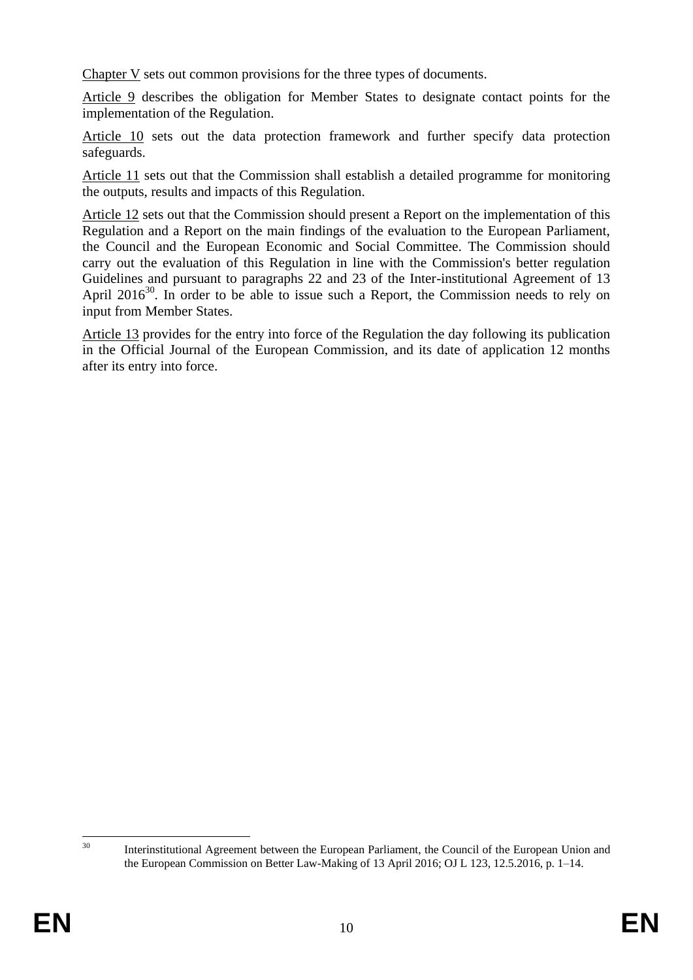Chapter V sets out common provisions for the three types of documents.

Article 9 describes the obligation for Member States to designate contact points for the implementation of the Regulation.

Article 10 sets out the data protection framework and further specify data protection safeguards.

Article 11 sets out that the Commission shall establish a detailed programme for monitoring the outputs, results and impacts of this Regulation.

Article 12 sets out that the Commission should present a Report on the implementation of this Regulation and a Report on the main findings of the evaluation to the European Parliament, the Council and the European Economic and Social Committee. The Commission should carry out the evaluation of this Regulation in line with the Commission's better regulation Guidelines and pursuant to paragraphs 22 and 23 of the Inter-institutional Agreement of 13 April  $2016^{30}$ . In order to be able to issue such a Report, the Commission needs to rely on input from Member States.

Article 13 provides for the entry into force of the Regulation the day following its publication in the Official Journal of the European Commission, and its date of application 12 months after its entry into force.

 $30$ 

Interinstitutional Agreement between the European Parliament, the Council of the European Union and the European Commission on Better Law-Making of 13 April 2016; OJ L 123, 12.5.2016, p. 1–14.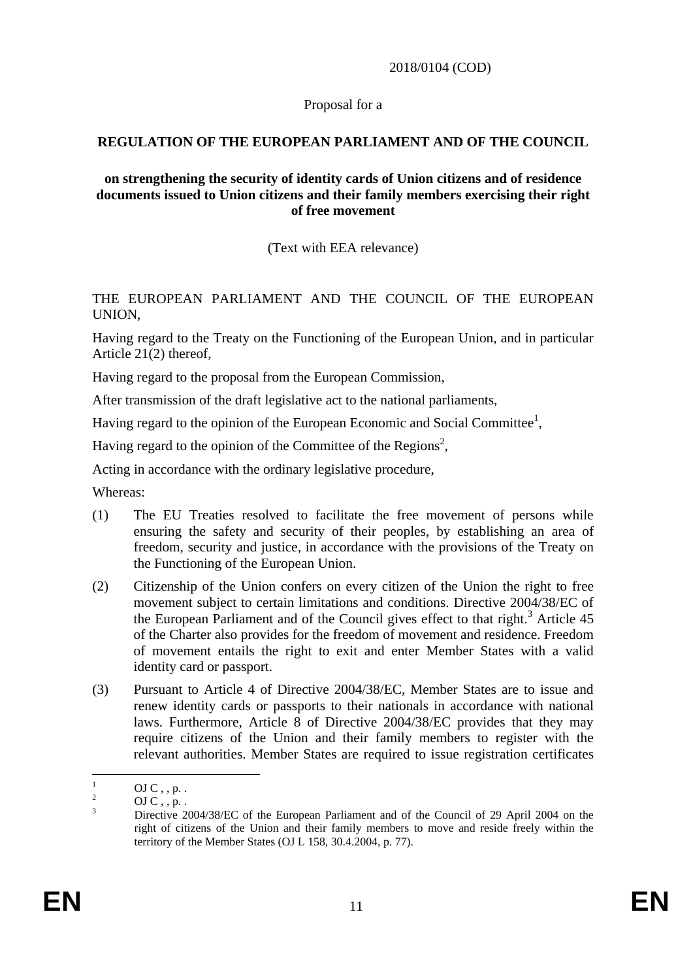### 2018/0104 (COD)

#### Proposal for a

### **REGULATION OF THE EUROPEAN PARLIAMENT AND OF THE COUNCIL**

### **on strengthening the security of identity cards of Union citizens and of residence documents issued to Union citizens and their family members exercising their right of free movement**

(Text with EEA relevance)

### THE EUROPEAN PARLIAMENT AND THE COUNCIL OF THE EUROPEAN UNION,

Having regard to the Treaty on the Functioning of the European Union, and in particular Article 21(2) thereof,

Having regard to the proposal from the European Commission,

After transmission of the draft legislative act to the national parliaments,

Having regard to the opinion of the European Economic and Social Committee<sup>1</sup>,

Having regard to the opinion of the Committee of the Regions<sup>2</sup>,

Acting in accordance with the ordinary legislative procedure,

Whereas:

- (1) The EU Treaties resolved to facilitate the free movement of persons while ensuring the safety and security of their peoples, by establishing an [area of](https://en.wikipedia.org/wiki/Area_of_freedom,_security_and_justice)  [freedom, security and justice,](https://en.wikipedia.org/wiki/Area_of_freedom,_security_and_justice) in accordance with the provisions of the Treaty on the Functioning of the European Union.
- (2) Citizenship of the Union confers on every citizen of the Union the right to free movement subject to certain limitations and conditions. Directive 2004/38/EC of the European Parliament and of the Council gives effect to that right.<sup>3</sup> Article  $45$ of the Charter also provides for the freedom of movement and residence. Freedom of movement entails the right to exit and enter Member States with a valid identity card or passport.
- (3) Pursuant to Article 4 of Directive 2004/38/EC, Member States are to issue and renew identity cards or passports to their nationals in accordance with national laws. Furthermore, Article 8 of Directive 2004/38/EC provides that they may require citizens of the Union and their family members to register with the relevant authorities. Member States are required to issue registration certificates

 $\mathbf{1}$  $\frac{1}{2}$  OJ C, , p. .

 $\frac{2}{3}$  OJ C, , p.

<sup>3</sup> Directive 2004/38/EC of the European Parliament and of the Council of 29 April 2004 on the right of citizens of the Union and their family members to move and reside freely within the territory of the Member States (OJ L 158, 30.4.2004, p. 77).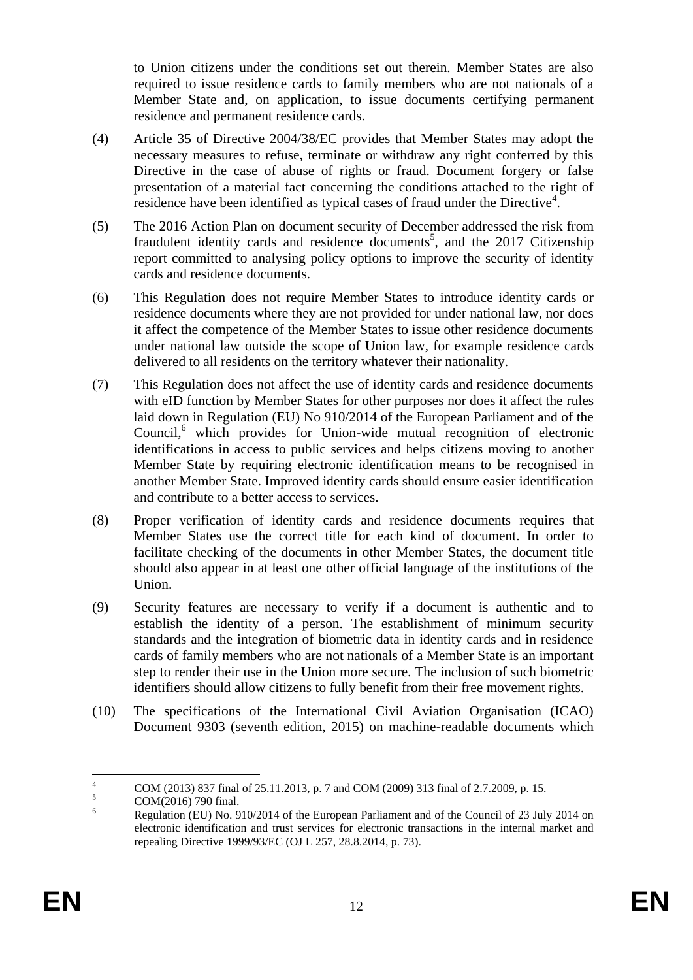to Union citizens under the conditions set out therein. Member States are also required to issue residence cards to family members who are not nationals of a Member State and, on application, to issue documents certifying permanent residence and permanent residence cards.

- (4) Article 35 of Directive 2004/38/EC provides that Member States may adopt the necessary measures to refuse, terminate or withdraw any right conferred by this Directive in the case of abuse of rights or fraud. Document forgery or false presentation of a material fact concerning the conditions attached to the right of residence have been identified as typical cases of fraud under the Directive<sup>4</sup>.
- (5) The 2016 Action Plan on document security of December addressed the risk from fraudulent identity cards and residence documents<sup>5</sup>, and the 2017 Citizenship report committed to analysing policy options to improve the security of identity cards and residence documents.
- (6) This Regulation does not require Member States to introduce identity cards or residence documents where they are not provided for under national law, nor does it affect the competence of the Member States to issue other residence documents under national law outside the scope of Union law, for example residence cards delivered to all residents on the territory whatever their nationality.
- (7) This Regulation does not affect the use of identity cards and residence documents with eID function by Member States for other purposes nor does it affect the rules laid down in Regulation (EU) No 910/2014 of the European Parliament and of the Council,<sup>6</sup> which provides for Union-wide mutual recognition of electronic identifications in access to public services and helps citizens moving to another Member State by requiring electronic identification means to be recognised in another Member State. Improved identity cards should ensure easier identification and contribute to a better access to services.
- (8) Proper verification of identity cards and residence documents requires that Member States use the correct title for each kind of document. In order to facilitate checking of the documents in other Member States, the document title should also appear in at least one other official language of the institutions of the Union.
- (9) Security features are necessary to verify if a document is authentic and to establish the identity of a person. The establishment of minimum security standards and the integration of biometric data in identity cards and in residence cards of family members who are not nationals of a Member State is an important step to render their use in the Union more secure. The inclusion of such biometric identifiers should allow citizens to fully benefit from their free movement rights.
- (10) The specifications of the International Civil Aviation Organisation (ICAO) Document 9303 (seventh edition, 2015) on machine-readable documents which

 $\overline{4}$ <sup>4</sup> COM (2013) 837 final of 25.11.2013, p. 7 and COM (2009) 313 final of 2.7.2009, p. 15.

 $5 \text{ COM}(2016) \text{ 790 final.}$ 

<sup>6</sup> Regulation (EU) No. 910/2014 of the European Parliament and of the Council of 23 July 2014 on electronic identification and trust services for electronic transactions in the internal market and repealing Directive 1999/93/EC (OJ L 257, 28.8.2014, p. 73).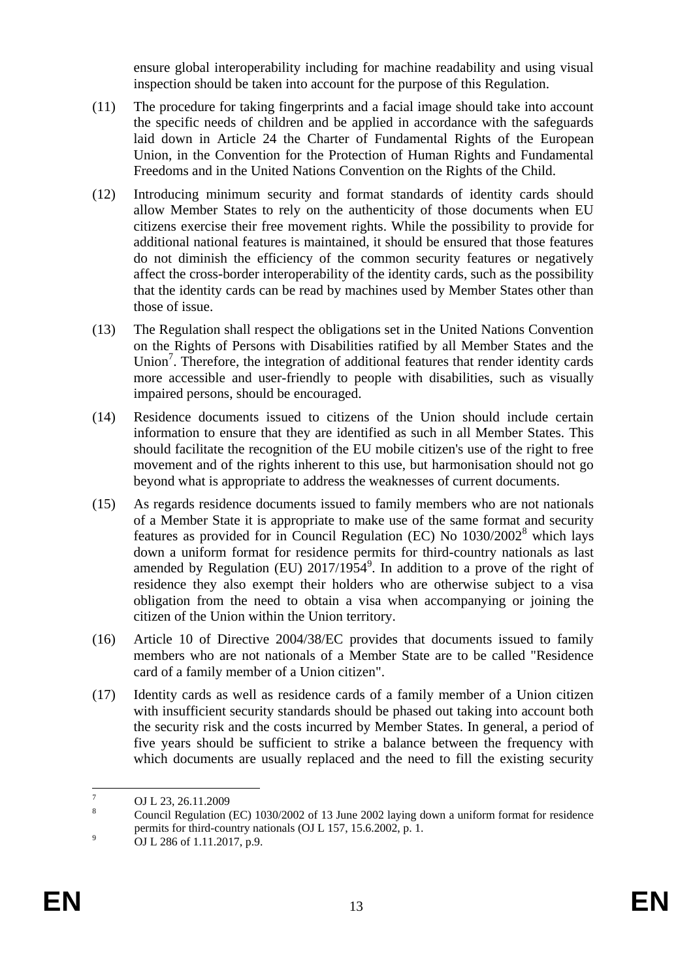ensure global interoperability including for machine readability and using visual inspection should be taken into account for the purpose of this Regulation.

- (11) The procedure for taking fingerprints and a facial image should take into account the specific needs of children and be applied in accordance with the safeguards laid down in Article 24 the Charter of Fundamental Rights of the European Union, in the Convention for the Protection of Human Rights and Fundamental Freedoms and in the United Nations Convention on the Rights of the Child.
- (12) Introducing minimum security and format standards of identity cards should allow Member States to rely on the authenticity of those documents when EU citizens exercise their free movement rights. While the possibility to provide for additional national features is maintained, it should be ensured that those features do not diminish the efficiency of the common security features or negatively affect the cross-border interoperability of the identity cards, such as the possibility that the identity cards can be read by machines used by Member States other than those of issue.
- (13) The Regulation shall respect the obligations set in the United Nations Convention on the Rights of Persons with Disabilities ratified by all Member States and the Union<sup>7</sup>. Therefore, the integration of additional features that render identity cards more accessible and user-friendly to people with disabilities, such as visually impaired persons, should be encouraged.
- (14) Residence documents issued to citizens of the Union should include certain information to ensure that they are identified as such in all Member States. This should facilitate the recognition of the EU mobile citizen's use of the right to free movement and of the rights inherent to this use, but harmonisation should not go beyond what is appropriate to address the weaknesses of current documents.
- (15) As regards residence documents issued to family members who are not nationals of a Member State it is appropriate to make use of the same format and security features as provided for in Council Regulation (EC) No 1030/2002<sup>8</sup> which lays down a uniform format for residence permits for third-country nationals as last amended by Regulation (EU)  $2017/1954^9$ . In addition to a prove of the right of residence they also exempt their holders who are otherwise subject to a visa obligation from the need to obtain a visa when accompanying or joining the citizen of the Union within the Union territory.
- (16) Article 10 of Directive 2004/38/EC provides that documents issued to family members who are not nationals of a Member State are to be called "Residence card of a family member of a Union citizen".
- (17) Identity cards as well as residence cards of a family member of a Union citizen with insufficient security standards should be phased out taking into account both the security risk and the costs incurred by Member States. In general, a period of five years should be sufficient to strike a balance between the frequency with which documents are usually replaced and the need to fill the existing security

 $\overline{7}$  $\frac{7}{8}$  OJ L 23, 26.11.2009

<sup>8</sup> Council Regulation (EC) 1030/2002 of 13 June 2002 laying down a uniform format for residence permits for third-country nationals (OJ L 157, 15.6.2002, p. 1.

<sup>&</sup>lt;sup>9</sup> OJ L 286 of 1.11.2017, p.9.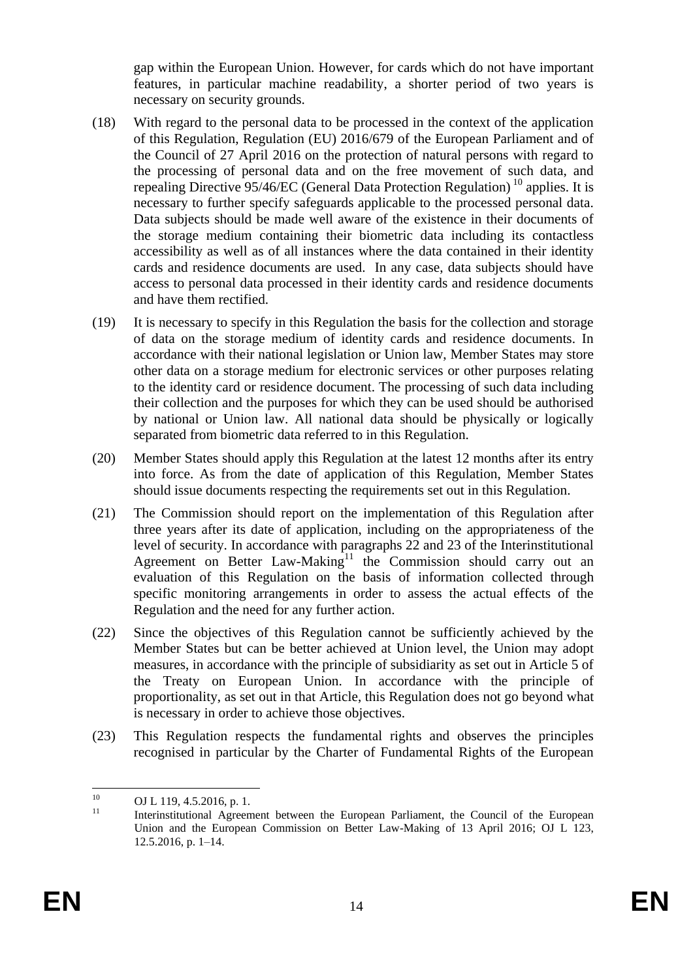gap within the European Union. However, for cards which do not have important features, in particular machine readability, a shorter period of two years is necessary on security grounds.

- (18) With regard to the personal data to be processed in the context of the application of this Regulation, Regulation (EU) 2016/679 of the European Parliament and of the Council of 27 April 2016 on the protection of natural persons with regard to the processing of personal data and on the free movement of such data, and repealing Directive 95/46/EC (General Data Protection Regulation)<sup>10</sup> applies. It is necessary to further specify safeguards applicable to the processed personal data. Data subjects should be made well aware of the existence in their documents of the storage medium containing their biometric data including its contactless accessibility as well as of all instances where the data contained in their identity cards and residence documents are used. In any case, data subjects should have access to personal data processed in their identity cards and residence documents and have them rectified.
- (19) It is necessary to specify in this Regulation the basis for the collection and storage of data on the storage medium of identity cards and residence documents. In accordance with their national legislation or Union law, Member States may store other data on a storage medium for electronic services or other purposes relating to the identity card or residence document. The processing of such data including their collection and the purposes for which they can be used should be authorised by national or Union law. All national data should be physically or logically separated from biometric data referred to in this Regulation.
- (20) Member States should apply this Regulation at the latest 12 months after its entry into force. As from the date of application of this Regulation, Member States should issue documents respecting the requirements set out in this Regulation.
- (21) The Commission should report on the implementation of this Regulation after three years after its date of application, including on the appropriateness of the level of security. In accordance with paragraphs 22 and 23 of the Interinstitutional Agreement on Better Law-Making<sup>11</sup> the Commission should carry out an evaluation of this Regulation on the basis of information collected through specific monitoring arrangements in order to assess the actual effects of the Regulation and the need for any further action.
- (22) Since the objectives of this Regulation cannot be sufficiently achieved by the Member States but can be better achieved at Union level, the Union may adopt measures, in accordance with the principle of subsidiarity as set out in Article 5 of the Treaty on European Union. In accordance with the principle of proportionality, as set out in that Article, this Regulation does not go beyond what is necessary in order to achieve those objectives.
- (23) This Regulation respects the fundamental rights and observes the principles recognised in particular by the Charter of Fundamental Rights of the European

 $10$  $^{10}$  OJ L 119, 4.5.2016, p. 1.

<sup>11</sup> Interinstitutional Agreement between the European Parliament, the Council of the European Union and the European Commission on Better Law-Making of 13 April 2016; OJ L 123, 12.5.2016, p. 1–14.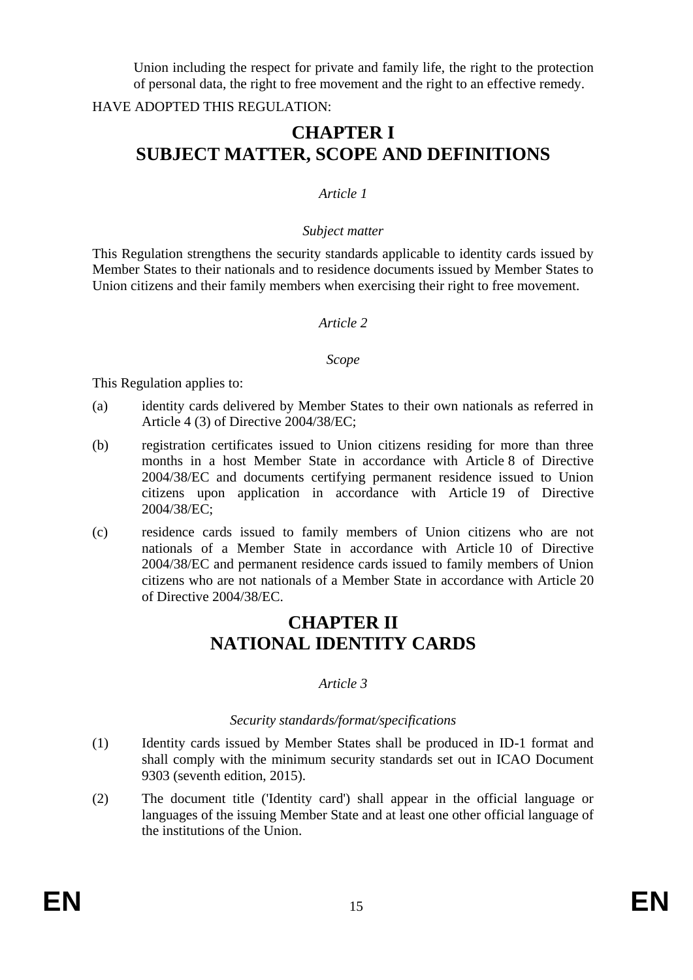Union including the respect for private and family life, the right to the protection of personal data, the right to free movement and the right to an effective remedy.

### HAVE ADOPTED THIS REGULATION:

# **CHAPTER I SUBJECT MATTER, SCOPE AND DEFINITIONS**

### *Article 1*

#### *Subject matter*

This Regulation strengthens the security standards applicable to identity cards issued by Member States to their nationals and to residence documents issued by Member States to Union citizens and their family members when exercising their right to free movement.

#### *Article 2*

#### *Scope*

This Regulation applies to:

- (a) identity cards delivered by Member States to their own nationals as referred in Article 4 (3) of Directive 2004/38/EC;
- (b) registration certificates issued to Union citizens residing for more than three months in a host Member State in accordance with Article 8 of Directive 2004/38/EC and documents certifying permanent residence issued to Union citizens upon application in accordance with Article 19 of Directive 2004/38/EC;
- (c) residence cards issued to family members of Union citizens who are not nationals of a Member State in accordance with Article 10 of Directive 2004/38/EC and permanent residence cards issued to family members of Union citizens who are not nationals of a Member State in accordance with Article 20 of Directive 2004/38/EC.

# **CHAPTER II NATIONAL IDENTITY CARDS**

## *Article 3*

### *Security standards/format/specifications*

- (1) Identity cards issued by Member States shall be produced in ID-1 format and shall comply with the minimum security standards set out in ICAO Document 9303 (seventh edition, 2015).
- (2) The document title ('Identity card') shall appear in the official language or languages of the issuing Member State and at least one other official language of the institutions of the Union.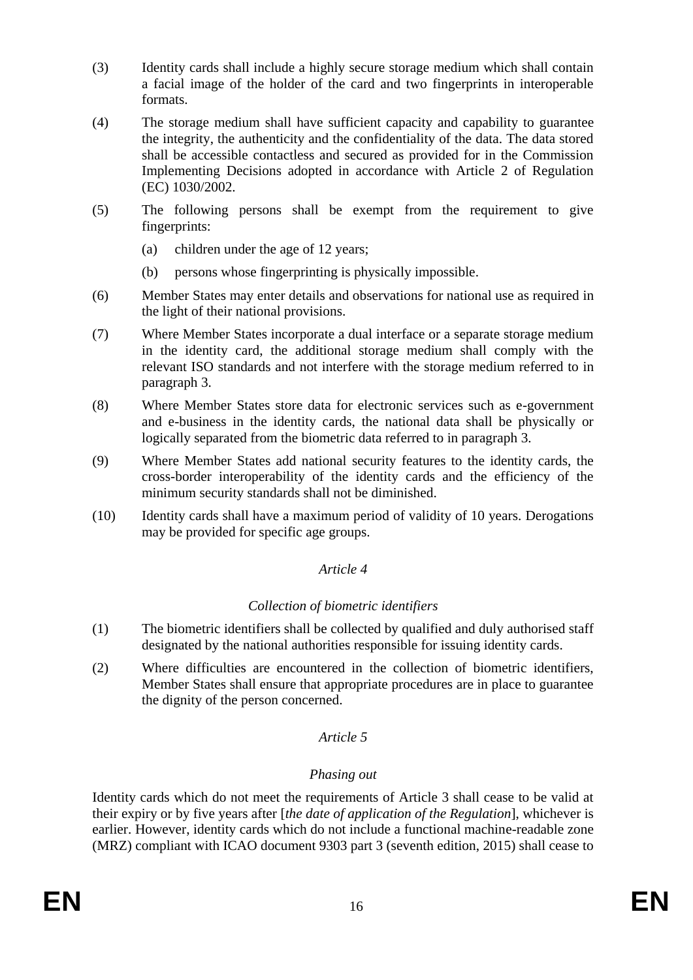- (3) Identity cards shall include a highly secure storage medium which shall contain a facial image of the holder of the card and two fingerprints in interoperable formats.
- (4) The storage medium shall have sufficient capacity and capability to guarantee the integrity, the authenticity and the confidentiality of the data. The data stored shall be accessible contactless and secured as provided for in the Commission Implementing Decisions adopted in accordance with Article 2 of Regulation (EC) 1030/2002.
- (5) The following persons shall be exempt from the requirement to give fingerprints:
	- (a) children under the age of 12 years;
	- (b) persons whose fingerprinting is physically impossible.
- (6) Member States may enter details and observations for national use as required in the light of their national provisions.
- (7) Where Member States incorporate a dual interface or a separate storage medium in the identity card, the additional storage medium shall comply with the relevant ISO standards and not interfere with the storage medium referred to in paragraph 3.
- (8) Where Member States store data for electronic services such as e-government and e-business in the identity cards, the national data shall be physically or logically separated from the biometric data referred to in paragraph 3.
- (9) Where Member States add national security features to the identity cards, the cross-border interoperability of the identity cards and the efficiency of the minimum security standards shall not be diminished.
- (10) Identity cards shall have a maximum period of validity of 10 years. Derogations may be provided for specific age groups.

## *Article 4*

## *Collection of biometric identifiers*

- (1) The biometric identifiers shall be collected by qualified and duly authorised staff designated by the national authorities responsible for issuing identity cards.
- (2) Where difficulties are encountered in the collection of biometric identifiers, Member States shall ensure that appropriate procedures are in place to guarantee the dignity of the person concerned.

# *Article 5*

# *Phasing out*

Identity cards which do not meet the requirements of Article 3 shall cease to be valid at their expiry or by five years after [*the date of application of the Regulation*], whichever is earlier. However, identity cards which do not include a functional machine-readable zone (MRZ) compliant with ICAO document 9303 part 3 (seventh edition, 2015) shall cease to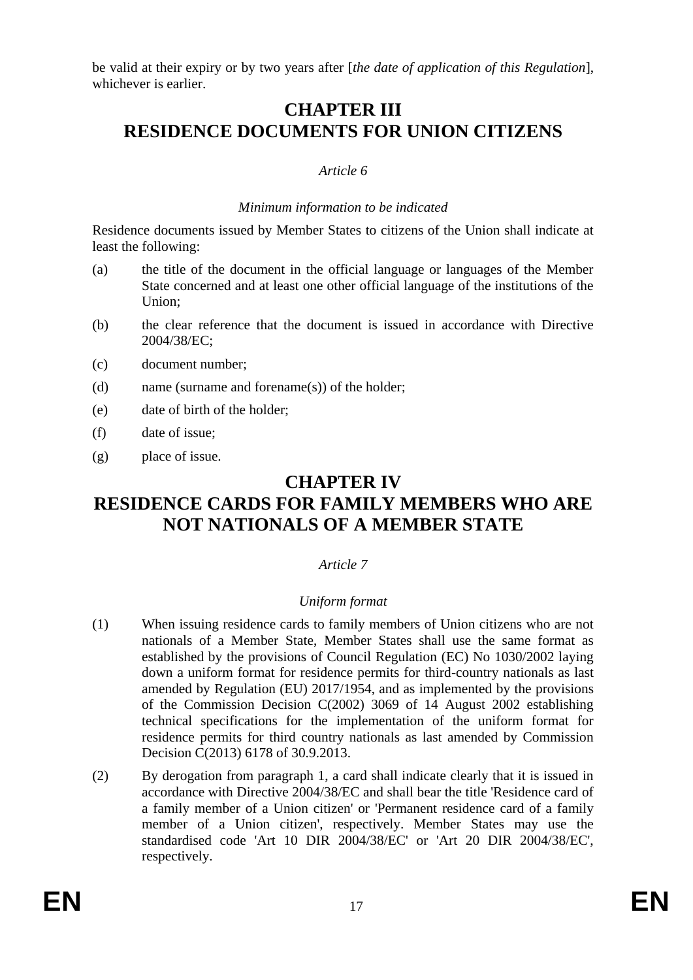be valid at their expiry or by two years after [*the date of application of this Regulation*], whichever is earlier.

# **CHAPTER III RESIDENCE DOCUMENTS FOR UNION CITIZENS**

### *Article 6*

#### *Minimum information to be indicated*

Residence documents issued by Member States to citizens of the Union shall indicate at least the following:

- (a) the title of the document in the official language or languages of the Member State concerned and at least one other official language of the institutions of the Union;
- (b) the clear reference that the document is issued in accordance with Directive 2004/38/EC;
- (c) document number;
- (d) name (surname and forename(s)) of the holder;
- (e) date of birth of the holder;
- (f) date of issue;
- (g) place of issue.

# **CHAPTER IV**

# **RESIDENCE CARDS FOR FAMILY MEMBERS WHO ARE NOT NATIONALS OF A MEMBER STATE**

## *Article 7*

### *Uniform format*

- (1) When issuing residence cards to family members of Union citizens who are not nationals of a Member State, Member States shall use the same format as established by the provisions of Council Regulation (EC) No 1030/2002 laying down a uniform format for residence permits for third-country nationals as last amended by Regulation (EU) 2017/1954, and as implemented by the provisions of the Commission Decision C(2002) 3069 of 14 August 2002 establishing technical specifications for the implementation of the uniform format for residence permits for third country nationals as last amended by Commission Decision C(2013) 6178 of 30.9.2013.
- (2) By derogation from paragraph 1, a card shall indicate clearly that it is issued in accordance with Directive 2004/38/EC and shall bear the title 'Residence card of a family member of a Union citizen' or 'Permanent residence card of a family member of a Union citizen', respectively. Member States may use the standardised code 'Art 10 DIR 2004/38/EC' or 'Art 20 DIR 2004/38/EC', respectively.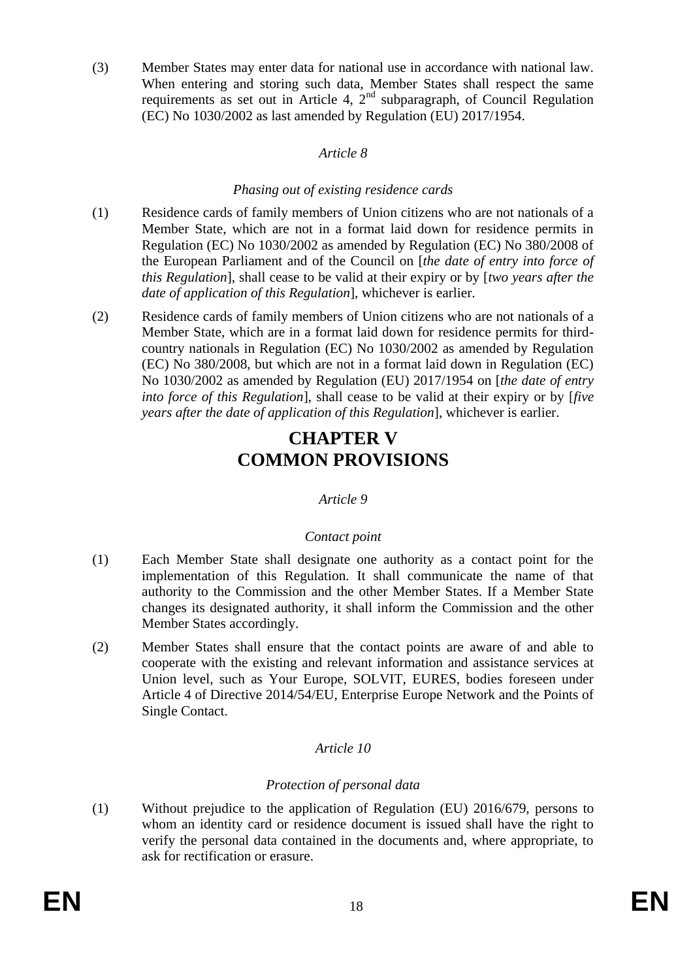(3) Member States may enter data for national use in accordance with national law. When entering and storing such data, Member States shall respect the same requirements as set out in Article 4,  $2<sup>nd</sup>$  subparagraph, of Council Regulation (EC) No 1030/2002 as last amended by Regulation (EU) 2017/1954.

### *Article 8*

### *Phasing out of existing residence cards*

- (1) Residence cards of family members of Union citizens who are not nationals of a Member State, which are not in a format laid down for residence permits in Regulation (EC) No 1030/2002 as amended by Regulation (EC) No 380/2008 of the European Parliament and of the Council on [*the date of entry into force of this Regulation*], shall cease to be valid at their expiry or by [*two years after the date of application of this Regulation*], whichever is earlier.
- (2) Residence cards of family members of Union citizens who are not nationals of a Member State, which are in a format laid down for residence permits for thirdcountry nationals in Regulation (EC) No 1030/2002 as amended by Regulation (EC) No 380/2008, but which are not in a format laid down in Regulation (EC) No 1030/2002 as amended by Regulation (EU) 2017/1954 on [*the date of entry into force of this Regulation*], shall cease to be valid at their expiry or by [*five years after the date of application of this Regulation*], whichever is earlier.

# **CHAPTER V COMMON PROVISIONS**

## *Article 9*

## *Contact point*

- (1) Each Member State shall designate one authority as a contact point for the implementation of this Regulation. It shall communicate the name of that authority to the Commission and the other Member States. If a Member State changes its designated authority, it shall inform the Commission and the other Member States accordingly.
- (2) Member States shall ensure that the contact points are aware of and able to cooperate with the existing and relevant information and assistance services at Union level, such as Your Europe, SOLVIT, EURES, bodies foreseen under Article 4 of Directive 2014/54/EU, Enterprise Europe Network and the Points of Single Contact.

## *Article 10*

## *Protection of personal data*

(1) Without prejudice to the application of Regulation (EU) 2016/679, persons to whom an identity card or residence document is issued shall have the right to verify the personal data contained in the documents and, where appropriate, to ask for rectification or erasure.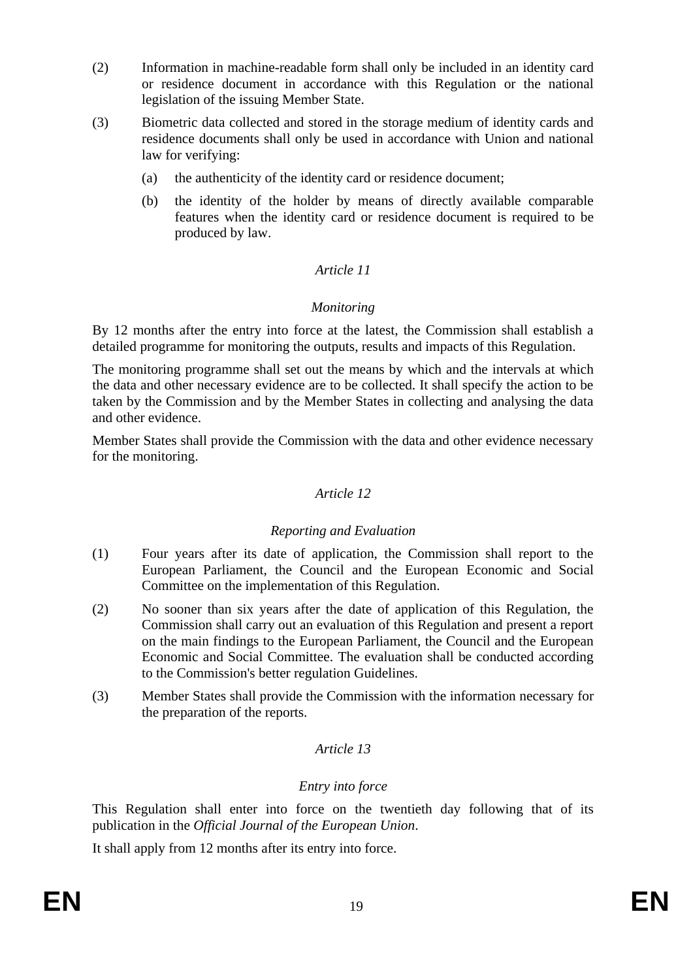- (2) Information in machine-readable form shall only be included in an identity card or residence document in accordance with this Regulation or the national legislation of the issuing Member State.
- (3) Biometric data collected and stored in the storage medium of identity cards and residence documents shall only be used in accordance with Union and national law for verifying:
	- (a) the authenticity of the identity card or residence document;
	- (b) the identity of the holder by means of directly available comparable features when the identity card or residence document is required to be produced by law.

## *Article 11*

### *Monitoring*

By 12 months after the entry into force at the latest, the Commission shall establish a detailed programme for monitoring the outputs, results and impacts of this Regulation.

The monitoring programme shall set out the means by which and the intervals at which the data and other necessary evidence are to be collected. It shall specify the action to be taken by the Commission and by the Member States in collecting and analysing the data and other evidence.

Member States shall provide the Commission with the data and other evidence necessary for the monitoring.

## *Article 12*

### *Reporting and Evaluation*

- (1) Four years after its date of application, the Commission shall report to the European Parliament, the Council and the European Economic and Social Committee on the implementation of this Regulation.
- (2) No sooner than six years after the date of application of this Regulation, the Commission shall carry out an evaluation of this Regulation and present a report on the main findings to the European Parliament, the Council and the European Economic and Social Committee. The evaluation shall be conducted according to the Commission's better regulation Guidelines.
- (3) Member States shall provide the Commission with the information necessary for the preparation of the reports.

## *Article 13*

### *Entry into force*

This Regulation shall enter into force on the twentieth day following that of its publication in the *Official Journal of the European Union*.

It shall apply from 12 months after its entry into force.